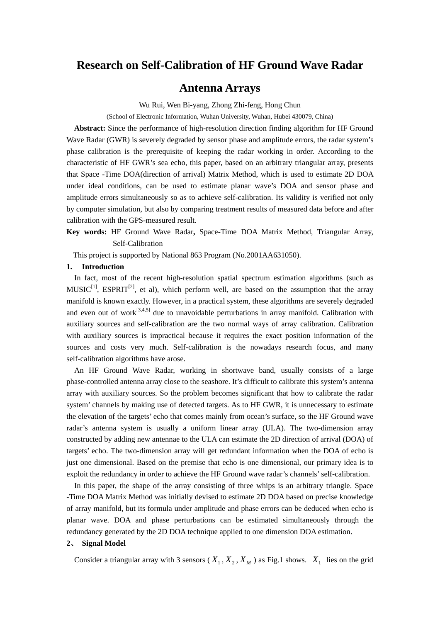# **Research on Self-Calibration of HF Ground Wave Radar**

# **Antenna Arrays**

Wu Rui, Wen Bi-yang, Zhong Zhi-feng, Hong Chun

(School of Electronic Information, Wuhan University, Wuhan, Hubei 430079, China)

**Abstract:** Since the performance of high-resolution direction finding algorithm for HF Ground Wave Radar (GWR) is severely degraded by sensor phase and amplitude errors, the radar system's phase calibration is the prerequisite of keeping the radar working in order. According to the characteristic of HF GWR's sea echo, this paper, based on an arbitrary triangular array, presents that Space -Time DOA(direction of arrival) Matrix Method, which is used to estimate 2D DOA under ideal conditions, can be used to estimate planar wave's DOA and sensor phase and amplitude errors simultaneously so as to achieve self-calibration. Its validity is verified not only by computer simulation, but also by comparing treatment results of measured data before and after calibration with the GPS-measured result.

**Key words:** HF Ground Wave Radar**,** Space-Time DOA Matrix Method, Triangular Array, Self-Calibration

This project is supported by National 863 Program (No.2001AA631050).

#### **1. Introduction**

In fact, most of the recent high-resolution spatial spectrum estimation algorithms (such as  $MUSIC^{[1]}$ , ESPRIT<sup>[2]</sup>, et al), which perform well, are based on the assumption that the array manifold is known exactly. However, in a practical system, these algorithms are severely degraded and even out of work $^{[3,4,5]}$  due to unavoidable perturbations in array manifold. Calibration with auxiliary sources and self-calibration are the two normal ways of array calibration. Calibration with auxiliary sources is impractical because it requires the exact position information of the sources and costs very much. Self-calibration is the nowadays research focus, and many self-calibration algorithms have arose.

An HF Ground Wave Radar, working in shortwave band, usually consists of a large phase-controlled antenna array close to the seashore. It's difficult to calibrate this system's antenna array with auxiliary sources. So the problem becomes significant that how to calibrate the radar system' channels by making use of detected targets. As to HF GWR, it is unnecessary to estimate the elevation of the targets' echo that comes mainly from ocean's surface, so the HF Ground wave radar's antenna system is usually a uniform linear array (ULA). The two-dimension array constructed by adding new antennae to the ULA can estimate the 2D direction of arrival (DOA) of targets' echo. The two-dimension array will get redundant information when the DOA of echo is just one dimensional. Based on the premise that echo is one dimensional, our primary idea is to exploit the redundancy in order to achieve the HF Ground wave radar's channels' self-calibration.

 In this paper, the shape of the array consisting of three whips is an arbitrary triangle. Space -Time DOA Matrix Method was initially devised to estimate 2D DOA based on precise knowledge of array manifold, but its formula under amplitude and phase errors can be deduced when echo is planar wave. DOA and phase perturbations can be estimated simultaneously through the redundancy generated by the 2D DOA technique applied to one dimension DOA estimation.

#### **2**、 **Signal Model**

Consider a triangular array with 3 sensors ( $X_1, X_2, X_M$ ) as Fig.1 shows.  $X_1$  lies on the grid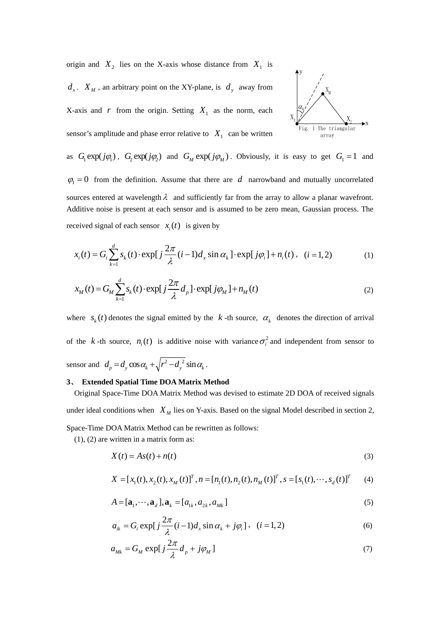origin and  $X_2$  lies on the X-axis whose distance from  $X_1$  is

 $d_x$ .  $X_M$ , an arbitrary point on the XY-plane, is  $d_y$  away from

X-axis and  $r$  from the origin. Setting  $X_1$  as the norm, each sensor's amplitude and phase error relative to  $X_1$  can be written



as  $G_i \exp(j\varphi)$ ,  $G_j \exp(j\varphi)$  and  $G_M \exp(j\varphi_M)$ . Obviously, it is easy to get  $G_i = 1$  and  $\varphi_1 = 0$  from the definition. Assume that there are *d* narrowband and mutually uncorrelated sources entered at wavelength  $\lambda$  and sufficiently far from the array to allow a planar wavefront. Additive noise is present at each sensor and is assumed to be zero mean, Gaussian process. The received signal of each sensor  $x_i(t)$  is given by

$$
x_i(t) = G_i \sum_{k=1}^d s_k(t) \cdot \exp[j\frac{2\pi}{\lambda}(i-1)d_x \sin \alpha_k] \cdot \exp[j\varphi_i] + n_i(t), \quad (i = 1, 2)
$$
 (1)

$$
x_M(t) = G_M \sum_{k=1}^d s_k(t) \cdot \exp[j\frac{2\pi}{\lambda}d_p] \cdot \exp[j\varphi_M] + n_M(t)
$$
 (2)

where  $s_k(t)$  denotes the signal emitted by the *k* -th source,  $\alpha_k$  denotes the direction of arrival of the *k* -th source,  $n_i(t)$  is additive noise with variance  $\sigma_i^2$  and independent from sensor to sensor and  $d_p = d_y \cos \alpha_k + \sqrt{r^2 - d_y^2} \sin \alpha_k$ .

#### **3**、 **Extended Spatial Time DOA Matrix Method**

Original Space-Time DOA Matrix Method was devised to estimate 2D DOA of received signals under ideal conditions when  $X_M$  lies on Y-axis. Based on the signal Model described in section 2, Space-Time DOA Matrix Method can be rewritten as follows:

(1), (2) are written in a matrix form as:

$$
X(t) = As(t) + n(t)
$$
\n(3)

$$
X = [x_1(t), x_2(t), x_M(t)]^T, n = [n_1(t), n_2(t), n_M(t)]^T, s = [s_1(t), \cdots, s_d(t)]^T
$$
 (4)

$$
A = [\mathbf{a}_1, \cdots, \mathbf{a}_d], \mathbf{a}_k = [a_{1k}, a_{2k}, a_{Mk}]
$$
\n<sup>(5)</sup>

$$
a_{ik} = G_i \exp[j\frac{2\pi}{\lambda}(i-1)d_x \sin \alpha_k + j\varphi_i], \quad (i = 1, 2)
$$
 (6)

$$
a_{Mk} = G_M \exp[j\frac{2\pi}{\lambda}d_p + j\varphi_M]
$$
\n(7)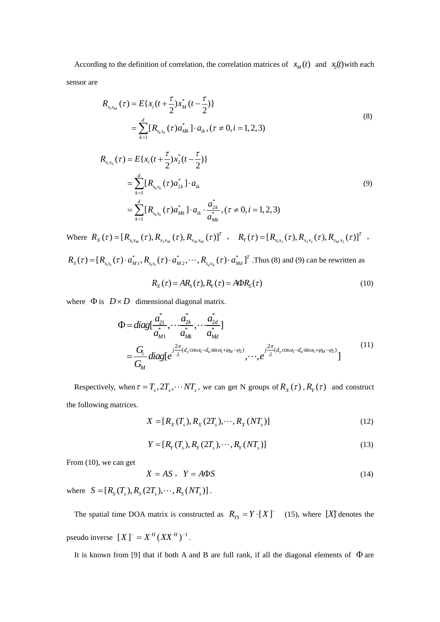According to the definition of correlation, the correlation matrices of  $x_M(t)$  and  $x_2(t)$  with each sensor are

$$
R_{x_i x_M}(\tau) = E\{x_i(t + \frac{\tau}{2})x_M^*(t - \frac{\tau}{2})\}
$$
  
= 
$$
\sum_{k=1}^d [R_{s_k s_k}(\tau) a_{Mk}^*] \cdot a_{ik}, (\tau \neq 0, i = 1, 2, 3)
$$
 (8)

$$
R_{x_i x_2}(\tau) = E\{x_i(t + \frac{\tau}{2})x_2^*(t - \frac{\tau}{2})\}
$$
  
= 
$$
\sum_{k=1}^d [R_{s_k s_k}(\tau) a_{2k}^*] \cdot a_{ik}
$$
  
= 
$$
\sum_{k=1}^d [R_{s_k s_k}(\tau) a_{Mk}^*] \cdot a_{ik} \cdot \frac{a_{2k}^*}{a_{Mk}^*}, (\tau \neq 0, i = 1, 2, 3)
$$
 (9)

Where  $R_X(\tau) = [R_{x_1x_M}(\tau), R_{x_2x_M}(\tau), R_{x_Mx_M}(\tau)]^T$ ,  $R_Y(\tau) = [R_{x_1x_2}(\tau), R_{x_2x_2}(\tau), R_{x_Mx_2}(\tau)]^T$ ,

 $1^{3}1$   $M1'$   $31'$  $R_{S}(\tau) = [R_{s_1s_1}(\tau) \cdot a^*_{M1}, R_{s_1s_1}(\tau) \cdot a^*_{M2}, \cdots, R_{s_d s_d}(\tau) \cdot a^*_{Md}]^T$ . Thus (8) and (9) can be rewritten as

$$
R_{X}(\tau) = AR_{S}(\tau), R_{Y}(\tau) = A\Phi R_{S}(\tau)
$$
\n(10)

where  $\Phi$  is  $D \times D$  dimensional diagonal matrix.

$$
\Phi = diag[\frac{a_{21}^{*}}{a_{M1}^{*}}, \dots \frac{a_{2k}^{*}}{a_{Mk}^{*}}, \dots \frac{a_{2d}^{*}}{a_{Md}^{*}}]
$$
\n
$$
= \frac{G_i}{G_M} diag[e^{\frac{j^2 \pi}{\lambda} (d_y \cos \alpha_1 - d_a \sin \alpha_1 + \varphi_M - \varphi_2)}, \dots, e^{\frac{j^2 \pi}{\lambda} (d_y \cos \alpha_1 - d_a \sin \alpha_1 + \varphi_M - \varphi_2)}]
$$
\n
$$
(11)
$$

Respectively, when  $\tau = T_s$ ,  $2T_s$ ,  $\cdots NT_s$ , we can get N groups of  $R_X(\tau)$ ,  $R_Y(\tau)$  and construct the following matrices.

$$
X = [R_X(T_s), R_X(2T_s), \cdots, R_X(NT_s)]
$$
\n(12)

$$
Y = [R_Y(T_s), R_Y(2T_s), \cdots, R_Y(NT_s)]
$$
\n(13)

From (10), we can get

$$
X = AS, \quad Y = A\Phi S \tag{14}
$$

where  $S = [R_s (T_s), R_s (2T_s), \cdots, R_s (NT_s)]$ .

The spatial time DOA matrix is constructed as  $R_{TS} = Y \cdot [X]$ <sup>-</sup> (15), where [X] denotes the pseudo inverse  $[X] = X^H (XX^H)^{-1}$ .

It is known from [9] that if both A and B are full rank, if all the diagonal elements of  $\Phi$  are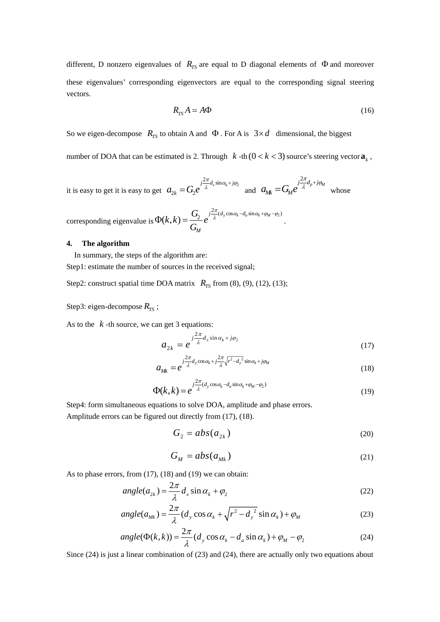different, D nonzero eigenvalues of  $R_{TS}$  are equal to D diagonal elements of  $\Phi$  and moreover these eigenvalues' corresponding eigenvectors are equal to the corresponding signal steering vectors.

$$
R_{TS}A = A\Phi \tag{16}
$$

So we eigen-decompose  $R_{TS}$  to obtain A and  $\Phi$ . For A is  $3 \times d$  dimensional, the biggest

number of DOA that can be estimated is 2. Through  $k$ -th  $(0 < k < 3)$  source's steering vector  $a_k$ ,

it is easy to get it is easy to get  $a_{2k} = G_2 e^{-\frac{1}{\lambda} a_x \sin \alpha_k + \frac{1}{2} \alpha_k}$  $\frac{2\pi}{d}$ <sub>r</sub> sin  $_{2k}$  –  $\cup_2$  $a_{2k} = G_2 e^{\int \frac{j2\pi}{\lambda} d_x \sin \alpha_k + j\varphi_2}$  and  $a_{Mk} = G_M e^{j\frac{2\pi}{\lambda}d_p + j\varphi_M}$  $=G_{\scriptscriptstyle M}e^{\int\frac{j2\pi}{\lambda}d_{p}+j\varphi_{\scriptscriptstyle M}}$  whose

corresponding eigenvalue is  $\Phi(k,k) = \frac{G_2}{\sigma^2} e^{-j\frac{2\pi}{\lambda}(d_y \cos \alpha_k - d_a \sin \alpha_k + \varphi_M - \varphi_2)}$ *M*  $(k, k) = \frac{G_2}{g} e^{-\frac{k^2}{2}}$ *G*  $\Phi(k,k) = \frac{G_2}{\sigma} e^{-j\frac{2\pi}{\lambda}(d_y\cos\alpha_k - d_a\sin\alpha_k + \varphi_M - \varphi_2)}.$ 

### **4. The algorithm**

In summary, the steps of the algorithm are:

Step1: estimate the number of sources in the received signal;

Step2: construct spatial time DOA matrix  $R_{TS}$  from (8), (9), (12), (13);

Step3: eigen-decompose  $R_{TS}$ ;

As to the  $k$ -th source, we can get 3 equations:

$$
a_{2k} = e^{j\frac{2\pi}{\lambda}d_x \sin \alpha_k + j\varphi_2}
$$
 (17)

$$
a_{Mk} = e^{-j\frac{2\pi}{\lambda}d_y\cos\alpha_k + j\frac{2\pi}{\lambda}\sqrt{r^2 - d_y^2}\sin\alpha_k + j\varphi_M}
$$
\n(18)

$$
\Phi(k,k) = e^{\int \frac{j2\pi}{\lambda} (d_y \cos \alpha_k - d_a \sin \alpha_k + \varphi_M - \varphi_2)}
$$
\n(19)

Step4: form simultaneous equations to solve DOA, amplitude and phase errors. Amplitude errors can be figured out directly from (17), (18).

$$
G_2 = abs(a_{2k})
$$
\n(20)

$$
G_M = abs(a_{Mk})
$$
\n(21)

As to phase errors, from (17), (18) and (19) we can obtain:

$$
angle(a_{2k}) = \frac{2\pi}{\lambda} d_x \sin \alpha_k + \varphi_2
$$
\n(22)

$$
angle(a_{Mk}) = \frac{2\pi}{\lambda} (d_y \cos \alpha_k + \sqrt{r^2 - d_y^2} \sin \alpha_k) + \varphi_M
$$
 (23)

$$
angle(\Phi(k,k)) = \frac{2\pi}{\lambda} (d_y \cos \alpha_k - d_a \sin \alpha_k) + \varphi_M - \varphi_2
$$
 (24)

Since (24) is just a linear combination of (23) and (24), there are actually only two equations about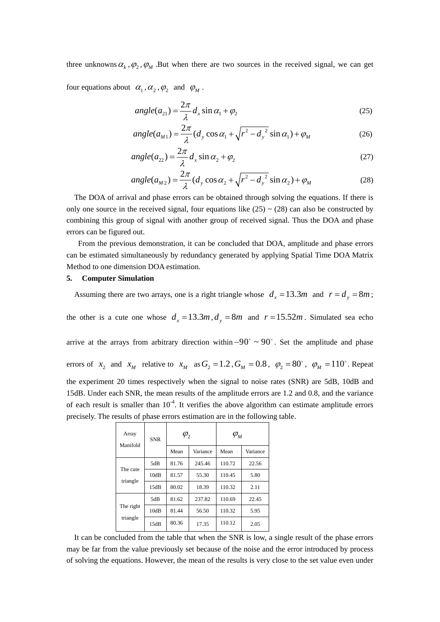three unknowns  $\alpha_k$ ,  $\varphi_2$ ,  $\varphi_M$ . But when there are two sources in the received signal, we can get

four equations about  $\alpha_1, \alpha_2, \varphi_2$  and  $\varphi_M$ .

$$
angle(a_{21}) = \frac{2\pi}{\lambda} d_x \sin \alpha_1 + \varphi_2
$$
\n(25)

$$
angle(a_{M1}) = \frac{2\pi}{\lambda} (d_y \cos \alpha_1 + \sqrt{r^2 - d_y^2} \sin \alpha_1) + \varphi_M
$$
\n(26)

$$
angle(a_{22}) = \frac{2\pi}{\lambda} d_x \sin \alpha_2 + \varphi_2
$$
 (27)

$$
angle(a_{M2}) = \frac{2\pi}{\lambda} (d_y \cos \alpha_2 + \sqrt{r^2 - d_y^2} \sin \alpha_2) + \varphi_M
$$
\n(28)

The DOA of arrival and phase errors can be obtained through solving the equations. If there is only one source in the received signal, four equations like  $(25) \sim (28)$  can also be constructed by combining this group of signal with another group of received signal. Thus the DOA and phase errors can be figured out.

 From the previous demonstration, it can be concluded that DOA, amplitude and phase errors can be estimated simultaneously by redundancy generated by applying Spatial Time DOA Matrix Method to one dimension DOA estimation.

## **5. Computer Simulation**

Assuming there are two arrays, one is a right triangle whose  $d_x = 13.3m$  and  $r = d_y = 8m$ ;

the other is a cute one whose  $d_x = 13.3m$ ,  $d_y = 8m$  and  $r = 15.52m$ . Simulated sea echo

arrive at the arrays from arbitrary direction within  $-90^\circ \sim 90^\circ$ . Set the amplitude and phase errors of  $x_2$  and  $x_M$  relative to  $x_M$  as  $G_2 = 1.2$ ,  $G_M = 0.8$ ,  $\varphi_2 = 80^\circ$ ,  $\varphi_M = 110^\circ$ . Repeat the experiment 20 times respectively when the signal to noise rates (SNR) are 5dB, 10dB and 15dB. Under each SNR, the mean results of the amplitude errors are 1.2 and 0.8, and the variance of each result is smaller than  $10^{-4}$ . It verifies the above algorithm can estimate amplitude errors precisely. The results of phase errors estimation are in the following table.

| Array<br>Manifold     | <b>SNR</b> | $\varphi_2$ |          | $\varphi_{\scriptscriptstyle M}$ |          |
|-----------------------|------------|-------------|----------|----------------------------------|----------|
|                       |            | Mean        | Variance | Mean                             | Variance |
| The cute<br>triangle  | 5dB        | 81.76       | 245.46   | 110.72                           | 22.56    |
|                       | 10dB       | 81.57       | 55.30    | 110.45                           | 5.80     |
|                       | 15dB       | 80.02       | 18.39    | 110.32                           | 2.11     |
| The right<br>triangle | 5dB        | 81.62       | 237.82   | 110.69                           | 22.45    |
|                       | 10dB       | 81.44       | 56.50    | 110.32                           | 5.95     |
|                       | 15dB       | 80.36       | 17.35    | 110.12                           | 2.05     |

It can be concluded from the table that when the SNR is low, a single result of the phase errors may be far from the value previously set because of the noise and the error introduced by process of solving the equations. However, the mean of the results is very close to the set value even under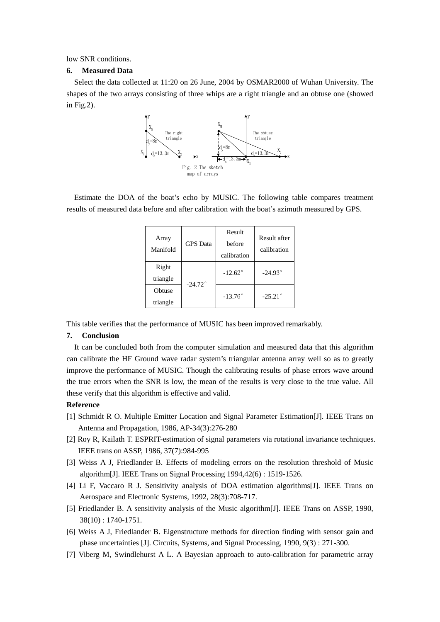low SNR conditions.

## **6. Measured Data**

Select the data collected at 11:20 on 26 June, 2004 by OSMAR2000 of Wuhan University. The shapes of the two arrays consisting of three whips are a right triangle and an obtuse one (showed in Fig.2).



Estimate the DOA of the boat's echo by MUSIC. The following table compares treatment results of measured data before and after calibration with the boat's azimuth measured by GPS.

| Array<br>Manifold | <b>GPS</b> Data  | Result<br>before<br>calibration | Result after<br>calibration |  |
|-------------------|------------------|---------------------------------|-----------------------------|--|
| Right             |                  | $-12.62^{\circ}$                | $-24.93^{\circ}$            |  |
| triangle          | $-24.72^{\circ}$ |                                 |                             |  |
| Obtuse            |                  | $-13.76^{\circ}$                | $-25.21^{\circ}$            |  |
| triangle          |                  |                                 |                             |  |

This table verifies that the performance of MUSIC has been improved remarkably.

## **7. Conclusion**

It can be concluded both from the computer simulation and measured data that this algorithm can calibrate the HF Ground wave radar system's triangular antenna array well so as to greatly improve the performance of MUSIC. Though the calibrating results of phase errors wave around the true errors when the SNR is low, the mean of the results is very close to the true value. All these verify that this algorithm is effective and valid.

#### **Reference**

- [1] Schmidt R O. Multiple Emitter Location and Signal Parameter Estimation[J]. IEEE Trans on Antenna and Propagation, 1986, AP-34(3):276-280
- [2] Roy R, Kailath T. ESPRIT-estimation of signal parameters via rotational invariance techniques. IEEE trans on ASSP, 1986, 37(7):984-995
- [3] Weiss A J, Friedlander B. Effects of modeling errors on the resolution threshold of Music algorithm[J]. IEEE Trans on Signal Processing 1994,42(6) : 1519-1526.
- [4] Li F, Vaccaro R J. Sensitivity analysis of DOA estimation algorithms[J]. IEEE Trans on Aerospace and Electronic Systems, 1992, 28(3):708-717.
- [5] Friedlander B. A sensitivity analysis of the Music algorithm[J]. IEEE Trans on ASSP, 1990, 38(10) : 1740-1751.
- [6] Weiss A J, Friedlander B. Eigenstructure methods for direction finding with sensor gain and phase uncertainties [J]. Circuits, Systems, and Signal Processing, 1990, 9(3) : 271-300.
- [7] Viberg M, Swindlehurst A L. A Bayesian approach to auto-calibration for parametric array